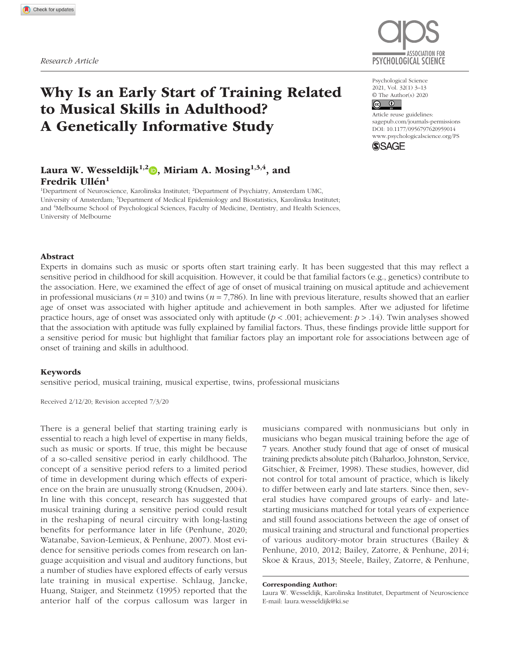

# Why Is an Early Start of Training Related to Musical Skills in Adulthood? A Genetically Informative Study

# Laura W. Wesseldijk<sup>1,2</sup> $\bullet$ , Miriam A. Mosing<sup>1,3,4</sup>, and Fredrik Ullén<sup>1</sup>

<sup>1</sup>Department of Neuroscience, Karolinska Institutet; <sup>2</sup>Department of Psychiatry, Amsterdam UMC, University of Amsterdam; <sup>3</sup>Department of Medical Epidemiology and Biostatistics, Karolinska Institutet; and <sup>4</sup>Melbourne School of Psychological Sciences, Faculty of Medicine, Dentistry, and Health Sciences, University of Melbourne

#### Psychological Science 2021, Vol. 32(1) 3–13 © The Author(s) 2020  $\boxed{6}$   $\boxed{0}$

https://doi.org/10.1177/0956797620959014 DOI: 10.1177/0956797620959014 Article reuse guidelines: [sagepub.com/journals-permissions](https://us.sagepub.com/en-us/journals-permissions) [www.psychologicalscience.org/PS](http://www.psychologicalscience.org/ps)



#### Abstract

Experts in domains such as music or sports often start training early. It has been suggested that this may reflect a sensitive period in childhood for skill acquisition. However, it could be that familial factors (e.g., genetics) contribute to the association. Here, we examined the effect of age of onset of musical training on musical aptitude and achievement in professional musicians ( $n = 310$ ) and twins ( $n = 7,786$ ). In line with previous literature, results showed that an earlier age of onset was associated with higher aptitude and achievement in both samples. After we adjusted for lifetime practice hours, age of onset was associated only with aptitude (*p* < .001; achievement: *p* > .14). Twin analyses showed that the association with aptitude was fully explained by familial factors. Thus, these findings provide little support for a sensitive period for music but highlight that familiar factors play an important role for associations between age of onset of training and skills in adulthood.

#### Keywords

sensitive period, musical training, musical expertise, twins, professional musicians

Received 2/12/20; Revision accepted 7/3/20

There is a general belief that starting training early is essential to reach a high level of expertise in many fields, such as music or sports. If true, this might be because of a so-called sensitive period in early childhood. The concept of a sensitive period refers to a limited period of time in development during which effects of experience on the brain are unusually strong (Knudsen, 2004). In line with this concept, research has suggested that musical training during a sensitive period could result in the reshaping of neural circuitry with long-lasting benefits for performance later in life (Penhune, 2020; Watanabe, Savion-Lemieux, & Penhune, 2007). Most evidence for sensitive periods comes from research on language acquisition and visual and auditory functions, but a number of studies have explored effects of early versus late training in musical expertise. Schlaug, Jancke, Huang, Staiger, and Steinmetz (1995) reported that the anterior half of the corpus callosum was larger in

musicians compared with nonmusicians but only in musicians who began musical training before the age of 7 years. Another study found that age of onset of musical training predicts absolute pitch (Baharloo, Johnston, Service, Gitschier, & Freimer, 1998). These studies, however, did not control for total amount of practice, which is likely to differ between early and late starters. Since then, several studies have compared groups of early- and latestarting musicians matched for total years of experience and still found associations between the age of onset of musical training and structural and functional properties of various auditory-motor brain structures (Bailey & Penhune, 2010, 2012; Bailey, Zatorre, & Penhune, 2014; Skoe & Kraus, 2013; Steele, Bailey, Zatorre, & Penhune,

#### Corresponding Author:

Laura W. Wesseldijk, Karolinska Institutet, Department of Neuroscience E-mail: [laura.wesseldijk@ki.se](mailto:laura.wesseldijk@ki.se)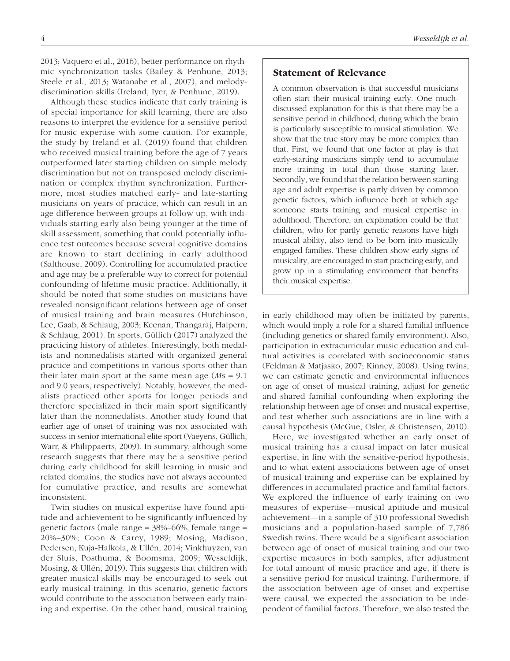2013; Vaquero et al., 2016), better performance on rhythmic synchronization tasks (Bailey & Penhune, 2013; Steele et al., 2013; Watanabe et al., 2007), and melodydiscrimination skills (Ireland, Iyer, & Penhune, 2019).

Although these studies indicate that early training is of special importance for skill learning, there are also reasons to interpret the evidence for a sensitive period for music expertise with some caution. For example, the study by Ireland et al. (2019) found that children who received musical training before the age of 7 years outperformed later starting children on simple melody discrimination but not on transposed melody discrimination or complex rhythm synchronization. Furthermore, most studies matched early- and late-starting musicians on years of practice, which can result in an age difference between groups at follow up, with individuals starting early also being younger at the time of skill assessment, something that could potentially influence test outcomes because several cognitive domains are known to start declining in early adulthood (Salthouse, 2009). Controlling for accumulated practice and age may be a preferable way to correct for potential confounding of lifetime music practice. Additionally, it should be noted that some studies on musicians have revealed nonsignificant relations between age of onset of musical training and brain measures (Hutchinson, Lee, Gaab, & Schlaug, 2003; Keenan, Thangaraj, Halpern, & Schlaug, 2001). In sports, Güllich (2017) analyzed the practicing history of athletes. Interestingly, both medalists and nonmedalists started with organized general practice and competitions in various sports other than their later main sport at the same mean age (*M*s = 9.1 and 9.0 years, respectively). Notably, however, the medalists practiced other sports for longer periods and therefore specialized in their main sport significantly later than the nonmedalists. Another study found that earlier age of onset of training was not associated with success in senior international elite sport (Vaeyens, Güllich, Warr, & Philippaerts, 2009). In summary, although some research suggests that there may be a sensitive period during early childhood for skill learning in music and related domains, the studies have not always accounted for cumulative practice, and results are somewhat inconsistent.

Twin studies on musical expertise have found aptitude and achievement to be significantly influenced by genetic factors (male range = 38%–66%, female range = 20%–30%; Coon & Carey, 1989; Mosing, Madison, Pedersen, Kuja-Halkola, & Ullén, 2014; Vinkhuyzen, van der Sluis, Posthuma, & Boomsma, 2009; Wesseldijk, Mosing, & Ullén, 2019). This suggests that children with greater musical skills may be encouraged to seek out early musical training. In this scenario, genetic factors would contribute to the association between early training and expertise. On the other hand, musical training

# Statement of Relevance

A common observation is that successful musicians often start their musical training early. One muchdiscussed explanation for this is that there may be a sensitive period in childhood, during which the brain is particularly susceptible to musical stimulation. We show that the true story may be more complex than that. First, we found that one factor at play is that early-starting musicians simply tend to accumulate more training in total than those starting later. Secondly, we found that the relation between starting age and adult expertise is partly driven by common genetic factors, which influence both at which age someone starts training and musical expertise in adulthood. Therefore, an explanation could be that children, who for partly genetic reasons have high musical ability, also tend to be born into musically engaged families. These children show early signs of musicality, are encouraged to start practicing early, and grow up in a stimulating environment that benefits their musical expertise.

in early childhood may often be initiated by parents, which would imply a role for a shared familial influence (including genetics or shared family environment). Also, participation in extracurricular music education and cultural activities is correlated with socioeconomic status (Feldman & Matjasko, 2007; Kinney, 2008). Using twins, we can estimate genetic and environmental influences on age of onset of musical training, adjust for genetic and shared familial confounding when exploring the relationship between age of onset and musical expertise, and test whether such associations are in line with a causal hypothesis (McGue, Osler, & Christensen, 2010).

Here, we investigated whether an early onset of musical training has a causal impact on later musical expertise, in line with the sensitive-period hypothesis, and to what extent associations between age of onset of musical training and expertise can be explained by differences in accumulated practice and familial factors. We explored the influence of early training on two measures of expertise—musical aptitude and musical achievement—in a sample of 310 professional Swedish musicians and a population-based sample of 7,786 Swedish twins. There would be a significant association between age of onset of musical training and our two expertise measures in both samples, after adjustment for total amount of music practice and age, if there is a sensitive period for musical training. Furthermore, if the association between age of onset and expertise were causal, we expected the association to be independent of familial factors. Therefore, we also tested the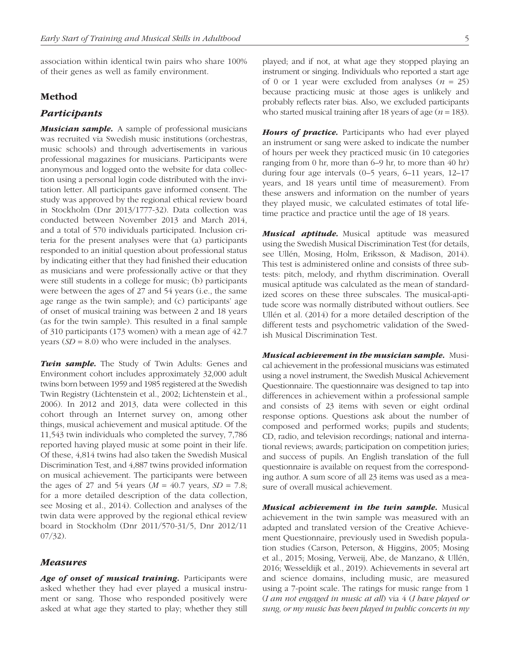association within identical twin pairs who share 100% of their genes as well as family environment.

# Method

# *Participants*

*Musician sample.* A sample of professional musicians was recruited via Swedish music institutions (orchestras, music schools) and through advertisements in various professional magazines for musicians. Participants were anonymous and logged onto the website for data collection using a personal login code distributed with the invitation letter. All participants gave informed consent. The study was approved by the regional ethical review board in Stockholm (Dnr 2013/1777-32). Data collection was conducted between November 2013 and March 2014, and a total of 570 individuals participated. Inclusion criteria for the present analyses were that (a) participants responded to an initial question about professional status by indicating either that they had finished their education as musicians and were professionally active or that they were still students in a college for music; (b) participants were between the ages of 27 and 54 years (i.e., the same age range as the twin sample); and (c) participants' age of onset of musical training was between 2 and 18 years (as for the twin sample). This resulted in a final sample of 310 participants (173 women) with a mean age of 42.7 years  $(SD = 8.0)$  who were included in the analyses.

*Twin sample.* The Study of Twin Adults: Genes and Environment cohort includes approximately 32,000 adult twins born between 1959 and 1985 registered at the Swedish Twin Registry (Lichtenstein et al., 2002; Lichtenstein et al., 2006). In 2012 and 2013, data were collected in this cohort through an Internet survey on, among other things, musical achievement and musical aptitude. Of the 11,543 twin individuals who completed the survey, 7,786 reported having played music at some point in their life. Of these, 4,814 twins had also taken the Swedish Musical Discrimination Test, and 4,887 twins provided information on musical achievement. The participants were between the ages of 27 and 54 years  $(M = 40.7$  years,  $SD = 7.8$ ; for a more detailed description of the data collection, see Mosing et al., 2014). Collection and analyses of the twin data were approved by the regional ethical review board in Stockholm (Dnr 2011/570-31/5, Dnr 2012/11 07/32).

#### *Measures*

*Age of onset of musical training.* Participants were asked whether they had ever played a musical instrument or sang. Those who responded positively were asked at what age they started to play; whether they still played; and if not, at what age they stopped playing an instrument or singing. Individuals who reported a start age of 0 or 1 year were excluded from analyses  $(n = 25)$ because practicing music at those ages is unlikely and probably reflects rater bias. Also, we excluded participants who started musical training after 18 years of age (*n* = 183).

*Hours of practice.* Participants who had ever played an instrument or sang were asked to indicate the number of hours per week they practiced music (in 10 categories ranging from 0 hr, more than 6–9 hr, to more than 40 hr) during four age intervals (0–5 years, 6–11 years, 12–17 years, and 18 years until time of measurement). From these answers and information on the number of years they played music, we calculated estimates of total lifetime practice and practice until the age of 18 years.

*Musical aptitude.* Musical aptitude was measured using the Swedish Musical Discrimination Test (for details, see Ullén, Mosing, Holm, Eriksson, & Madison, 2014). This test is administered online and consists of three subtests: pitch, melody, and rhythm discrimination. Overall musical aptitude was calculated as the mean of standardized scores on these three subscales. The musical-aptitude score was normally distributed without outliers. See Ullén et al. (2014) for a more detailed description of the different tests and psychometric validation of the Swedish Musical Discrimination Test.

*Musical achievement in the musician sample.* Musical achievement in the professional musicians was estimated using a novel instrument, the Swedish Musical Achievement Questionnaire. The questionnaire was designed to tap into differences in achievement within a professional sample and consists of 23 items with seven or eight ordinal response options. Questions ask about the number of composed and performed works; pupils and students; CD, radio, and television recordings; national and international reviews; awards; participation on competition juries; and success of pupils. An English translation of the full questionnaire is available on request from the corresponding author. A sum score of all 23 items was used as a measure of overall musical achievement.

*Musical achievement in the twin sample.* Musical achievement in the twin sample was measured with an adapted and translated version of the Creative Achievement Questionnaire, previously used in Swedish population studies (Carson, Peterson, & Higgins, 2005; Mosing et al., 2015; Mosing, Verweij, Abe, de Manzano, & Ullén, 2016; Wesseldijk et al., 2019). Achievements in several art and science domains, including music, are measured using a 7-point scale. The ratings for music range from 1 (*I am not engaged in music at all*) via 4 (*I have played or sung, or my music has been played in public concerts in my*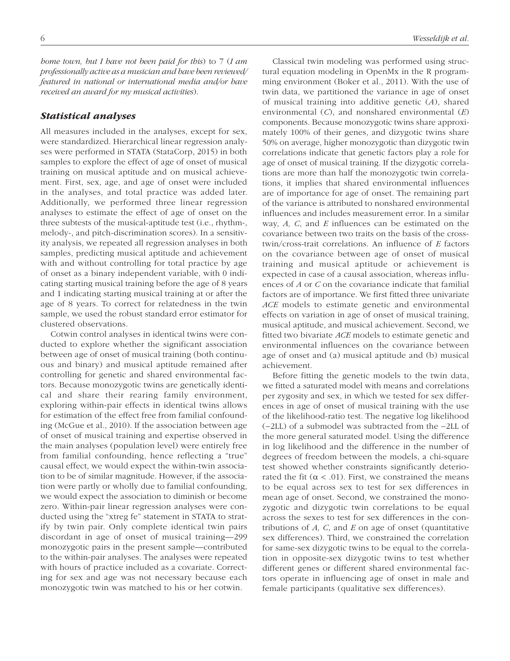*home town, but I have not been paid for this*) to 7 (*I am professionally active as a musician and have been reviewed/ featured in national or international media and/or have received an award for my musical activities*).

# *Statistical analyses*

All measures included in the analyses, except for sex, were standardized. Hierarchical linear regression analyses were performed in STATA (StataCorp, 2015) in both samples to explore the effect of age of onset of musical training on musical aptitude and on musical achievement. First, sex, age, and age of onset were included in the analyses, and total practice was added later. Additionally, we performed three linear regression analyses to estimate the effect of age of onset on the three subtests of the musical-aptitude test (i.e., rhythm-, melody-, and pitch-discrimination scores). In a sensitivity analysis, we repeated all regression analyses in both samples, predicting musical aptitude and achievement with and without controlling for total practice by age of onset as a binary independent variable, with 0 indicating starting musical training before the age of 8 years and 1 indicating starting musical training at or after the age of 8 years. To correct for relatedness in the twin sample, we used the robust standard error estimator for clustered observations.

Cotwin control analyses in identical twins were conducted to explore whether the significant association between age of onset of musical training (both continuous and binary) and musical aptitude remained after controlling for genetic and shared environmental factors. Because monozygotic twins are genetically identical and share their rearing family environment, exploring within-pair effects in identical twins allows for estimation of the effect free from familial confounding (McGue et al., 2010). If the association between age of onset of musical training and expertise observed in the main analyses (population level) were entirely free from familial confounding, hence reflecting a "true" causal effect, we would expect the within-twin association to be of similar magnitude. However, if the association were partly or wholly due to familial confounding, we would expect the association to diminish or become zero. Within-pair linear regression analyses were conducted using the "xtreg fe" statement in STATA to stratify by twin pair. Only complete identical twin pairs discordant in age of onset of musical training—299 monozygotic pairs in the present sample—contributed to the within-pair analyses. The analyses were repeated with hours of practice included as a covariate. Correcting for sex and age was not necessary because each monozygotic twin was matched to his or her cotwin.

Classical twin modeling was performed using structural equation modeling in OpenMx in the R programming environment (Boker et al., 2011). With the use of twin data, we partitioned the variance in age of onset of musical training into additive genetic (*A*), shared environmental (*C*), and nonshared environmental (*E*) components. Because monozygotic twins share approximately 100% of their genes, and dizygotic twins share 50% on average, higher monozygotic than dizygotic twin correlations indicate that genetic factors play a role for age of onset of musical training. If the dizygotic correlations are more than half the monozygotic twin correlations, it implies that shared environmental influences are of importance for age of onset. The remaining part of the variance is attributed to nonshared environmental influences and includes measurement error. In a similar way, *A, C*, and *E* influences can be estimated on the covariance between two traits on the basis of the crosstwin/cross-trait correlations. An influence of *E* factors on the covariance between age of onset of musical training and musical aptitude or achievement is expected in case of a causal association, whereas influences of *A* or *C* on the covariance indicate that familial factors are of importance. We first fitted three univariate *ACE* models to estimate genetic and environmental effects on variation in age of onset of musical training, musical aptitude, and musical achievement. Second, we fitted two bivariate *ACE* models to estimate genetic and environmental influences on the covariance between age of onset and (a) musical aptitude and (b) musical achievement.

Before fitting the genetic models to the twin data, we fitted a saturated model with means and correlations per zygosity and sex, in which we tested for sex differences in age of onset of musical training with the use of the likelihood-ratio test. The negative log likelihood (−2LL) of a submodel was subtracted from the −2LL of the more general saturated model. Using the difference in log likelihood and the difference in the number of degrees of freedom between the models, a chi-square test showed whether constraints significantly deteriorated the fit ( $\alpha$  < .01). First, we constrained the means to be equal across sex to test for sex differences in mean age of onset. Second, we constrained the monozygotic and dizygotic twin correlations to be equal across the sexes to test for sex differences in the contributions of *A, C*, and *E* on age of onset (quantitative sex differences). Third, we constrained the correlation for same-sex dizygotic twins to be equal to the correlation in opposite-sex dizygotic twins to test whether different genes or different shared environmental factors operate in influencing age of onset in male and female participants (qualitative sex differences).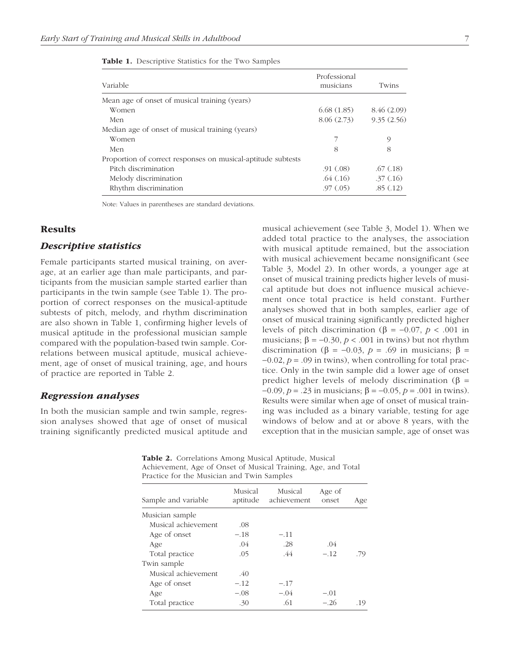| Variable                                                     | Professional<br>musicians | Twins      |
|--------------------------------------------------------------|---------------------------|------------|
| Mean age of onset of musical training (years)                |                           |            |
| Women                                                        | 6.68(1.85)                | 8.46(2.09) |
| Men                                                          | 8.06(2.73)                | 9.35(2.56) |
| Median age of onset of musical training (years)              |                           |            |
| Women                                                        |                           | 9          |
| Men                                                          | 8                         | 8          |
| Proportion of correct responses on musical-aptitude subtests |                           |            |
| Pitch discrimination                                         | .91(.08)                  | .67(.18)   |
| Melody discrimination                                        | .64(.16)                  | .37(.16)   |
| Rhythm discrimination                                        | .97(0.05)                 | .85(.12)   |

Table 1. Descriptive Statistics for the Two Samples

Note: Values in parentheses are standard deviations.

# **Results**

#### *Descriptive statistics*

Female participants started musical training, on average, at an earlier age than male participants, and participants from the musician sample started earlier than participants in the twin sample (see Table 1). The proportion of correct responses on the musical-aptitude subtests of pitch, melody, and rhythm discrimination are also shown in Table 1, confirming higher levels of musical aptitude in the professional musician sample compared with the population-based twin sample. Correlations between musical aptitude, musical achievement, age of onset of musical training, age, and hours of practice are reported in Table 2.

# *Regression analyses*

In both the musician sample and twin sample, regression analyses showed that age of onset of musical training significantly predicted musical aptitude and musical achievement (see Table 3, Model 1). When we added total practice to the analyses, the association with musical aptitude remained, but the association with musical achievement became nonsignificant (see Table 3, Model 2). In other words, a younger age at onset of musical training predicts higher levels of musical aptitude but does not influence musical achievement once total practice is held constant. Further analyses showed that in both samples, earlier age of onset of musical training significantly predicted higher levels of pitch discrimination (β = −0.07, *p* < .001 in musicians;  $β = -0.30, p < .001$  in twins) but not rhythm discrimination ( $\beta$  = -0.03,  $p$  = .69 in musicians;  $\beta$  =  $-0.02$ ,  $p = .09$  in twins), when controlling for total practice. Only in the twin sample did a lower age of onset predict higher levels of melody discrimination (β = −0.09, *p* = .23 in musicians; β = −0.05, *p* = .001 in twins). Results were similar when age of onset of musical training was included as a binary variable, testing for age windows of below and at or above 8 years, with the exception that in the musician sample, age of onset was

Table 2. Correlations Among Musical Aptitude, Musical Achievement, Age of Onset of Musical Training, Age, and Total Practice for the Musician and Twin Samples

| Sample and variable | Musical<br>aptitude | Musical<br>achievement | Age of<br>onset | Age |
|---------------------|---------------------|------------------------|-----------------|-----|
| Musician sample     |                     |                        |                 |     |
| Musical achievement | .08                 |                        |                 |     |
| Age of onset        | $-.18$              | $-.11$                 |                 |     |
| Age                 | .04                 | .28                    | .04             |     |
| Total practice      | .05                 | .44                    | $-.12$          | .79 |
| Twin sample         |                     |                        |                 |     |
| Musical achievement | .40                 |                        |                 |     |
| Age of onset        | $-.12$              | $-.17$                 |                 |     |
| Age                 | $-.08$              | $-.04$                 | $-.01$          |     |
| Total practice      | .30                 | .61                    | $-.26$          | .19 |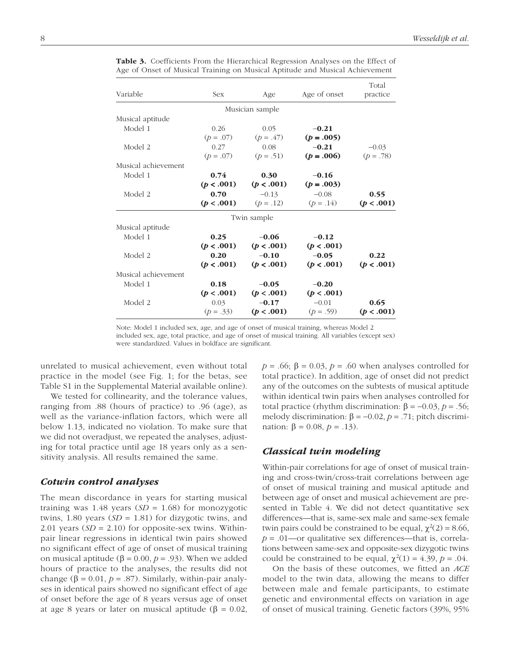| Variable            | Sex        | Age             | Age of onset | Total<br>practice |
|---------------------|------------|-----------------|--------------|-------------------|
|                     |            | Musician sample |              |                   |
| Musical aptitude    |            |                 |              |                   |
| Model 1             | 0.26       | 0.05            | $-0.21$      |                   |
|                     | $(p=.07)$  | $(p = .47)$     | $(p=.005)$   |                   |
| Model 2             | 0.27       | 0.08            | $-0.21$      | $-0.03$           |
|                     | $(p=.07)$  | $(p=.51)$       | $(p=.006)$   | $(p=.78)$         |
| Musical achievement |            |                 |              |                   |
| Model 1             | 0.74       | 0.30            | $-0.16$      |                   |
|                     | (p < .001) | (p < .001)      | $(p=.003)$   |                   |
| Model 2             | 0.70       | $-0.13$         | $-0.08$      | 0.55              |
|                     | (p < .001) | $(p=.12)$       | $(p=.14)$    | (p < .001)        |
|                     |            | Twin sample     |              |                   |
| Musical aptitude    |            |                 |              |                   |
| Model 1             | 0.25       | $-0.06$         | $-0.12$      |                   |
|                     | (p < .001) | (p < .001)      | (p < .001)   |                   |
| Model 2             | 0.20       | $-0.10$         | $-0.05$      | 0.22              |
|                     | (p < .001) | (p < .001)      | (p < .001)   | (p < .001)        |
| Musical achievement |            |                 |              |                   |
| Model 1             | 0.18       | $-0.05$         | $-0.20$      |                   |
|                     | (p < .001) | (p < .001)      | (p < .001)   |                   |
| Model 2             | 0.03       | $-0.17$         | $-0.01$      | 0.65              |
|                     | $(p=.33)$  | (p < .001)      | $(p=.59)$    | (p < .001)        |

Table 3. Coefficients From the Hierarchical Regression Analyses on the Effect of Age of Onset of Musical Training on Musical Aptitude and Musical Achievement

Note: Model 1 included sex, age, and age of onset of musical training, whereas Model 2 included sex, age, total practice, and age of onset of musical training. All variables (except sex) were standardized. Values in boldface are significant.

unrelated to musical achievement, even without total practice in the model (see Fig. 1; for the betas, see Table S1 in the Supplemental Material available online).

We tested for collinearity, and the tolerance values, ranging from .88 (hours of practice) to .96 (age), as well as the variance-inflation factors, which were all below 1.13, indicated no violation. To make sure that we did not overadjust, we repeated the analyses, adjusting for total practice until age 18 years only as a sensitivity analysis. All results remained the same.

# *Cotwin control analyses*

The mean discordance in years for starting musical training was  $1.48$  years ( $SD = 1.68$ ) for monozygotic twins, 1.80 years  $(SD = 1.81)$  for dizygotic twins, and 2.01 years  $(SD = 2.10)$  for opposite-sex twins. Withinpair linear regressions in identical twin pairs showed no significant effect of age of onset of musical training on musical aptitude (β = 0.00, *p* = .93). When we added hours of practice to the analyses, the results did not change ( $\beta$  = 0.01,  $p$  = .87). Similarly, within-pair analyses in identical pairs showed no significant effect of age of onset before the age of 8 years versus age of onset at age 8 years or later on musical aptitude (β =  $0.02$ ,  $p = .66$ ;  $\beta = 0.03$ ,  $p = .60$  when analyses controlled for total practice). In addition, age of onset did not predict any of the outcomes on the subtests of musical aptitude within identical twin pairs when analyses controlled for total practice (rhythm discrimination: β = −0.03, *p* = .56; melody discrimination:  $\beta = -0.02$ ,  $p = .71$ ; pitch discrimination:  $β = 0.08, p = .13$ ).

# *Classical twin modeling*

Within-pair correlations for age of onset of musical training and cross-twin/cross-trait correlations between age of onset of musical training and musical aptitude and between age of onset and musical achievement are presented in Table 4. We did not detect quantitative sex differences—that is, same-sex male and same-sex female twin pairs could be constrained to be equal,  $\chi^2(2) = 8.66$ ,  $p = .01$ —or qualitative sex differences—that is, correlations between same-sex and opposite-sex dizygotic twins could be constrained to be equal,  $\chi^2(1) = 4.39$ ,  $p = .04$ .

On the basis of these outcomes, we fitted an *ACE* model to the twin data, allowing the means to differ between male and female participants, to estimate genetic and environmental effects on variation in age of onset of musical training. Genetic factors (39%, 95%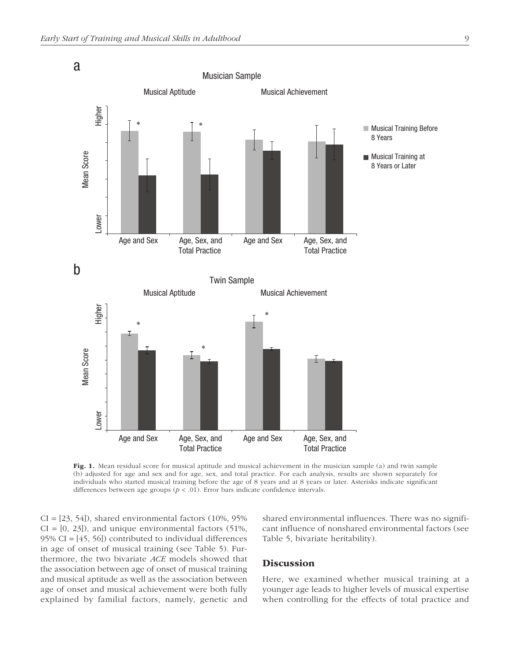

Fig. 1. Mean residual score for musical aptitude and musical achievement in the musician sample (a) and twin sample (b) adjusted for age and sex and for age, sex, and total practice. For each analysis, results are shown separately for individuals who started musical training before the age of 8 years and at 8 years or later. Asterisks indicate significant differences between age groups (*p* < .01). Error bars indicate confidence intervals.

 $CI = [23, 54]$ , shared environmental factors (10%, 95%)  $CI = [0, 23]$ ), and unique environmental factors (51%, 95% CI = [45, 56]) contributed to individual differences in age of onset of musical training (see Table 5). Furthermore, the two bivariate *ACE* models showed that the association between age of onset of musical training and musical aptitude as well as the association between age of onset and musical achievement were both fully explained by familial factors, namely, genetic and shared environmental influences. There was no significant influence of nonshared environmental factors (see Table 5, bivariate heritability).

# **Discussion**

Here, we examined whether musical training at a younger age leads to higher levels of musical expertise when controlling for the effects of total practice and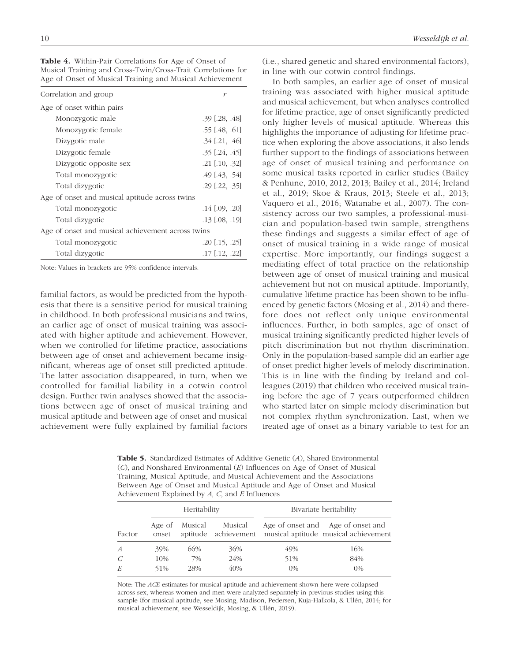| <b>Table 4.</b> Within-Pair Correlations for Age of Onset of |
|--------------------------------------------------------------|
| Musical Training and Cross-Twin/Cross-Trait Correlations for |
| Age of Onset of Musical Training and Musical Achievement     |

| Correlation and group                             | r                   |  |
|---------------------------------------------------|---------------------|--|
| Age of onset within pairs                         |                     |  |
| Monozygotic male                                  | $.39$ $[.28, .48]$  |  |
| Monozygotic female                                | $.55$ $(.48, .61]$  |  |
| Dizygotic male                                    | $.34$ $[.21, .46]$  |  |
| Dizygotic female                                  | $.35$ $[.24, .45]$  |  |
| Dizygotic opposite sex                            | $.21$ [.10, .32]    |  |
| Total monozygotic                                 | $.49$ $(.43, .54)$  |  |
| Total dizygotic                                   | $.29$ $[.22, .35]$  |  |
| Age of onset and musical aptitude across twins    |                     |  |
| Total monozygotic                                 | $.14$ [.09, .20]    |  |
| Total dizygotic                                   | $.13$ $.08$ , $.19$ |  |
| Age of onset and musical achievement across twins |                     |  |
| Total monozygotic                                 | $.20$ [.15, .25]    |  |
| Total dizygotic                                   | $.17$ $.12$ , $.22$ |  |

Note: Values in brackets are 95% confidence intervals.

familial factors, as would be predicted from the hypothesis that there is a sensitive period for musical training in childhood. In both professional musicians and twins, an earlier age of onset of musical training was associated with higher aptitude and achievement. However, when we controlled for lifetime practice, associations between age of onset and achievement became insignificant, whereas age of onset still predicted aptitude. The latter association disappeared, in turn, when we controlled for familial liability in a cotwin control design. Further twin analyses showed that the associations between age of onset of musical training and musical aptitude and between age of onset and musical achievement were fully explained by familial factors (i.e., shared genetic and shared environmental factors), in line with our cotwin control findings.

In both samples, an earlier age of onset of musical training was associated with higher musical aptitude and musical achievement, but when analyses controlled for lifetime practice, age of onset significantly predicted only higher levels of musical aptitude. Whereas this highlights the importance of adjusting for lifetime practice when exploring the above associations, it also lends further support to the findings of associations between age of onset of musical training and performance on some musical tasks reported in earlier studies (Bailey & Penhune, 2010, 2012, 2013; Bailey et al., 2014; Ireland et al., 2019; Skoe & Kraus, 2013; Steele et al., 2013; Vaquero et al., 2016; Watanabe et al., 2007). The consistency across our two samples, a professional-musician and population-based twin sample, strengthens these findings and suggests a similar effect of age of onset of musical training in a wide range of musical expertise. More importantly, our findings suggest a mediating effect of total practice on the relationship between age of onset of musical training and musical achievement but not on musical aptitude. Importantly, cumulative lifetime practice has been shown to be influenced by genetic factors (Mosing et al., 2014) and therefore does not reflect only unique environmental influences. Further, in both samples, age of onset of musical training significantly predicted higher levels of pitch discrimination but not rhythm discrimination. Only in the population-based sample did an earlier age of onset predict higher levels of melody discrimination. This is in line with the finding by Ireland and colleagues (2019) that children who received musical training before the age of 7 years outperformed children who started later on simple melody discrimination but not complex rhythm synchronization. Last, when we treated age of onset as a binary variable to test for an

Table 5. Standardized Estimates of Additive Genetic (*A*), Shared Environmental (*C*), and Nonshared Environmental (*E*) Influences on Age of Onset of Musical Training, Musical Aptitude, and Musical Achievement and the Associations Between Age of Onset and Musical Aptitude and Age of Onset and Musical Achievement Explained by *A, C*, and *E* Influences

|                  | Heritability    |     |                 | Bivariate heritability |                                                                                                |  |
|------------------|-----------------|-----|-----------------|------------------------|------------------------------------------------------------------------------------------------|--|
| Factor           | Age of<br>onset |     | Musical Musical |                        | Age of onset and Age of onset and<br>aptitude achievement musical aptitude musical achievement |  |
| $\boldsymbol{A}$ | 39%             | 66% | 36%             | 49%                    | 16%                                                                                            |  |
| $\mathcal{C}$    | 10%             | 7%  | 24%             | 51%                    | 84%                                                                                            |  |
| E                | 51%             | 28% | 40%             | $0\%$                  | $0\%$                                                                                          |  |

Note: The *ACE* estimates for musical aptitude and achievement shown here were collapsed across sex, whereas women and men were analyzed separately in previous studies using this sample (for musical aptitude, see Mosing, Madison, Pedersen, Kuja-Halkola, & Ullén, 2014; for musical achievement, see Wesseldijk, Mosing, & Ullén, 2019).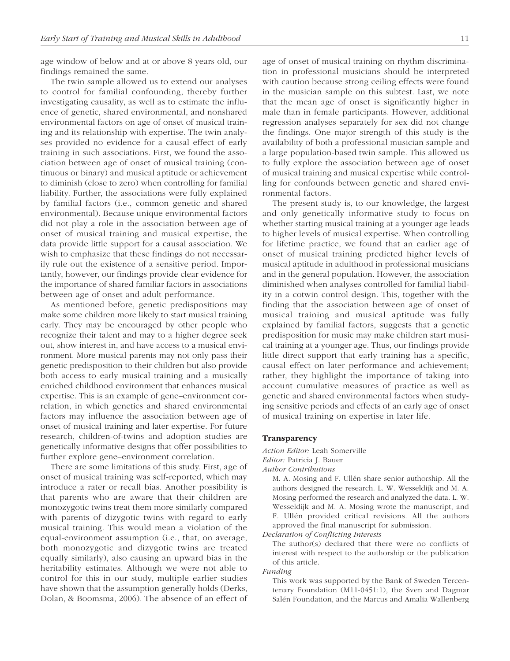age window of below and at or above 8 years old, our findings remained the same.

The twin sample allowed us to extend our analyses to control for familial confounding, thereby further investigating causality, as well as to estimate the influence of genetic, shared environmental, and nonshared environmental factors on age of onset of musical training and its relationship with expertise. The twin analyses provided no evidence for a causal effect of early training in such associations. First, we found the association between age of onset of musical training (continuous or binary) and musical aptitude or achievement to diminish (close to zero) when controlling for familial liability. Further, the associations were fully explained by familial factors (i.e., common genetic and shared environmental). Because unique environmental factors did not play a role in the association between age of onset of musical training and musical expertise, the data provide little support for a causal association. We wish to emphasize that these findings do not necessarily rule out the existence of a sensitive period. Importantly, however, our findings provide clear evidence for the importance of shared familiar factors in associations between age of onset and adult performance.

As mentioned before, genetic predispositions may make some children more likely to start musical training early. They may be encouraged by other people who recognize their talent and may to a higher degree seek out, show interest in, and have access to a musical environment. More musical parents may not only pass their genetic predisposition to their children but also provide both access to early musical training and a musically enriched childhood environment that enhances musical expertise. This is an example of gene–environment correlation, in which genetics and shared environmental factors may influence the association between age of onset of musical training and later expertise. For future research, children-of-twins and adoption studies are genetically informative designs that offer possibilities to further explore gene–environment correlation.

There are some limitations of this study. First, age of onset of musical training was self-reported, which may introduce a rater or recall bias. Another possibility is that parents who are aware that their children are monozygotic twins treat them more similarly compared with parents of dizygotic twins with regard to early musical training. This would mean a violation of the equal-environment assumption (i.e., that, on average, both monozygotic and dizygotic twins are treated equally similarly), also causing an upward bias in the heritability estimates. Although we were not able to control for this in our study, multiple earlier studies have shown that the assumption generally holds (Derks, Dolan, & Boomsma, 2006). The absence of an effect of age of onset of musical training on rhythm discrimination in professional musicians should be interpreted with caution because strong ceiling effects were found in the musician sample on this subtest. Last, we note that the mean age of onset is significantly higher in male than in female participants. However, additional regression analyses separately for sex did not change the findings. One major strength of this study is the availability of both a professional musician sample and a large population-based twin sample. This allowed us to fully explore the association between age of onset of musical training and musical expertise while controlling for confounds between genetic and shared environmental factors.

The present study is, to our knowledge, the largest and only genetically informative study to focus on whether starting musical training at a younger age leads to higher levels of musical expertise. When controlling for lifetime practice, we found that an earlier age of onset of musical training predicted higher levels of musical aptitude in adulthood in professional musicians and in the general population. However, the association diminished when analyses controlled for familial liability in a cotwin control design. This, together with the finding that the association between age of onset of musical training and musical aptitude was fully explained by familial factors, suggests that a genetic predisposition for music may make children start musical training at a younger age. Thus, our findings provide little direct support that early training has a specific, causal effect on later performance and achievement; rather, they highlight the importance of taking into account cumulative measures of practice as well as genetic and shared environmental factors when studying sensitive periods and effects of an early age of onset of musical training on expertise in later life.

#### Transparency

*Action Editor:* Leah Somerville

*Editor:* Patricia J. Bauer

*Author Contributions*

M. A. Mosing and F. Ullén share senior authorship. All the authors designed the research. L. W. Wesseldijk and M. A. Mosing performed the research and analyzed the data. L. W. Wesseldijk and M. A. Mosing wrote the manuscript, and F. Ullén provided critical revisions. All the authors approved the final manuscript for submission.

*Declaration of Conflicting Interests*

The author(s) declared that there were no conflicts of interest with respect to the authorship or the publication of this article.

*Funding*

This work was supported by the Bank of Sweden Tercentenary Foundation (M11-0451:1), the Sven and Dagmar Salén Foundation, and the Marcus and Amalia Wallenberg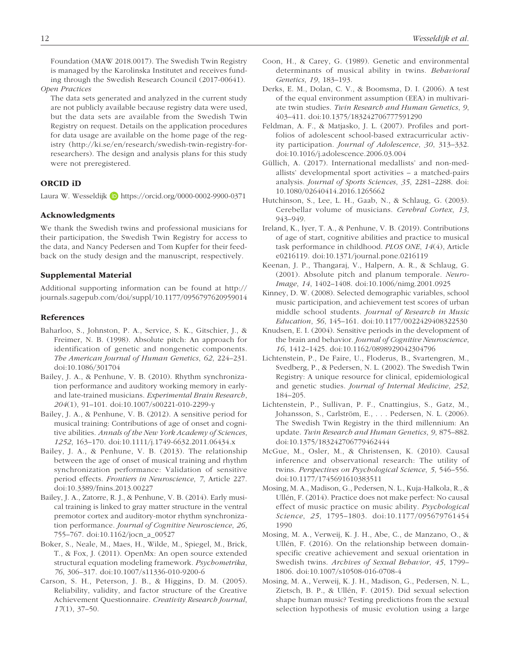Foundation (MAW 2018.0017). The Swedish Twin Registry is managed by the Karolinska Institutet and receives funding through the Swedish Research Council (2017-00641). *Open Practices*

The data sets generated and analyzed in the current study are not publicly available because registry data were used, but the data sets are available from the Swedish Twin Registry on request. Details on the application procedures for data usage are available on the home page of the registry ([http://ki.se/en/research/swedish-twin-registry-for](http://ki.se/en/research/swedish-twin-registry-for-researchers)[researchers\)](http://ki.se/en/research/swedish-twin-registry-for-researchers). The design and analysis plans for this study were not preregistered.

# ORCID iD

Laura W. Wesseldijk **D** <https://orcid.org/0000-0002-9900-0371>

#### Acknowledgments

We thank the Swedish twins and professional musicians for their participation, the Swedish Twin Registry for access to the data, and Nancy Pedersen and Tom Kupfer for their feedback on the study design and the manuscript, respectively.

# Supplemental Material

Additional supporting information can be found at [http://](http://journals.sagepub.com/doi/suppl/10.1177/0956797620959014) [journals.sagepub.com/doi/suppl/10.1177/0956797620959014](http://journals.sagepub.com/doi/suppl/10.1177/0956797620959014)

# References

- Baharloo, S., Johnston, P. A., Service, S. K., Gitschier, J., & Freimer, N. B. (1998). Absolute pitch: An approach for identification of genetic and nongenetic components. *The American Journal of Human Genetics*, *62*, 224–231. doi:10.1086/301704
- Bailey, J. A., & Penhune, V. B. (2010). Rhythm synchronization performance and auditory working memory in earlyand late-trained musicians. *Experimental Brain Research*, *204*(1), 91–101. doi:10.1007/s00221-010-2299-y
- Bailey, J. A., & Penhune, V. B. (2012). A sensitive period for musical training: Contributions of age of onset and cognitive abilities. *Annals of the New York Academy of Sciences*, *1252*, 163–170. doi:10.1111/j.1749-6632.2011.06434.x
- Bailey, J. A., & Penhune, V. B. (2013). The relationship between the age of onset of musical training and rhythm synchronization performance: Validation of sensitive period effects. *Frontiers in Neuroscience*, *7*, Article 227. doi:10.3389/fnins.2013.00227
- Bailey, J. A., Zatorre, R. J., & Penhune, V. B. (2014). Early musical training is linked to gray matter structure in the ventral premotor cortex and auditory-motor rhythm synchronization performance. *Journal of Cognitive Neuroscience*, *26*, 755–767. doi:10.1162/jocn\_a\_00527
- Boker, S., Neale, M., Maes, H., Wilde, M., Spiegel, M., Brick, T., & Fox, J. (2011). OpenMx: An open source extended structural equation modeling framework. *Psychometrika*, *76*, 306–317. doi:10.1007/s11336-010-9200-6
- Carson, S. H., Peterson, J. B., & Higgins, D. M. (2005). Reliability, validity, and factor structure of the Creative Achievement Questionnaire. *Creativity Research Journal*, *17*(1), 37–50.
- Coon, H., & Carey, G. (1989). Genetic and environmental determinants of musical ability in twins. *Behavioral Genetics*, *19*, 183–193.
- Derks, E. M., Dolan, C. V., & Boomsma, D. I. (2006). A test of the equal environment assumption (EEA) in multivariate twin studies. *Twin Research and Human Genetics*, *9*, 403–411. doi:10.1375/183242706777591290
- Feldman, A. F., & Matjasko, J. L. (2007). Profiles and portfolios of adolescent school-based extracurricular activity participation. *Journal of Adolescence*, *30*, 313–332. doi:10.1016/j.adolescence.2006.03.004
- Güllich, A. (2017). International medallists' and non-medallists' developmental sport activities – a matched-pairs analysis. *Journal of Sports Sciences*, *35*, 2281–2288. doi: 10.1080/02640414.2016.1265662
- Hutchinson, S., Lee, L. H., Gaab, N., & Schlaug, G. (2003). Cerebellar volume of musicians. *Cerebral Cortex*, *13*, 943–949.
- Ireland, K., Iyer, T. A., & Penhune, V. B. (2019). Contributions of age of start, cognitive abilities and practice to musical task performance in childhood. *PLOS ONE*, *14*(4), Article e0216119. doi:10.1371/journal.pone.0216119
- Keenan, J. P., Thangaraj, V., Halpern, A. R., & Schlaug, G. (2001). Absolute pitch and planum temporale. *Neuro-Image*, *14*, 1402–1408. doi:10.1006/nimg.2001.0925
- Kinney, D. W. (2008). Selected demographic variables, school music participation, and achievement test scores of urban middle school students. *Journal of Research in Music Education*, *56*, 145–161. doi:10.1177/0022429408322530
- Knudsen, E. I. (2004). Sensitive periods in the development of the brain and behavior. *Journal of Cognitive Neuroscience*, *16*, 1412–1425. doi:10.1162/0898929042304796
- Lichtenstein, P., De Faire, U., Floderus, B., Svartengren, M., Svedberg, P., & Pedersen, N. L. (2002). The Swedish Twin Registry: A unique resource for clinical, epidemiological and genetic studies. *Journal of Internal Medicine*, *252*, 184–205.
- Lichtenstein, P., Sullivan, P. F., Cnattingius, S., Gatz, M., Johansson, S., Carlström, E., . . . Pedersen, N. L. (2006). The Swedish Twin Registry in the third millennium: An update. *Twin Research and Human Genetics*, *9*, 875–882. doi:10.1375/183242706779462444
- McGue, M., Osler, M., & Christensen, K. (2010). Causal inference and observational research: The utility of twins. *Perspectives on Psychological Science*, *5*, 546–556. doi:10.1177/1745691610383511
- Mosing, M. A., Madison, G., Pedersen, N. L., Kuja-Halkola, R., & Ullén, F. (2014). Practice does not make perfect: No causal effect of music practice on music ability. *Psychological Science*, *25*, 1795–1803. doi:10.1177/095679761454 1990
- Mosing, M. A., Verweij, K. J. H., Abe, C., de Manzano, O., & Ullén, F. (2016). On the relationship between domainspecific creative achievement and sexual orientation in Swedish twins. *Archives of Sexual Behavior*, *45*, 1799– 1806. doi:10.1007/s10508-016-0708-4
- Mosing, M. A., Verweij, K. J. H., Madison, G., Pedersen, N. L., Zietsch, B. P., & Ullén, F. (2015). Did sexual selection shape human music? Testing predictions from the sexual selection hypothesis of music evolution using a large